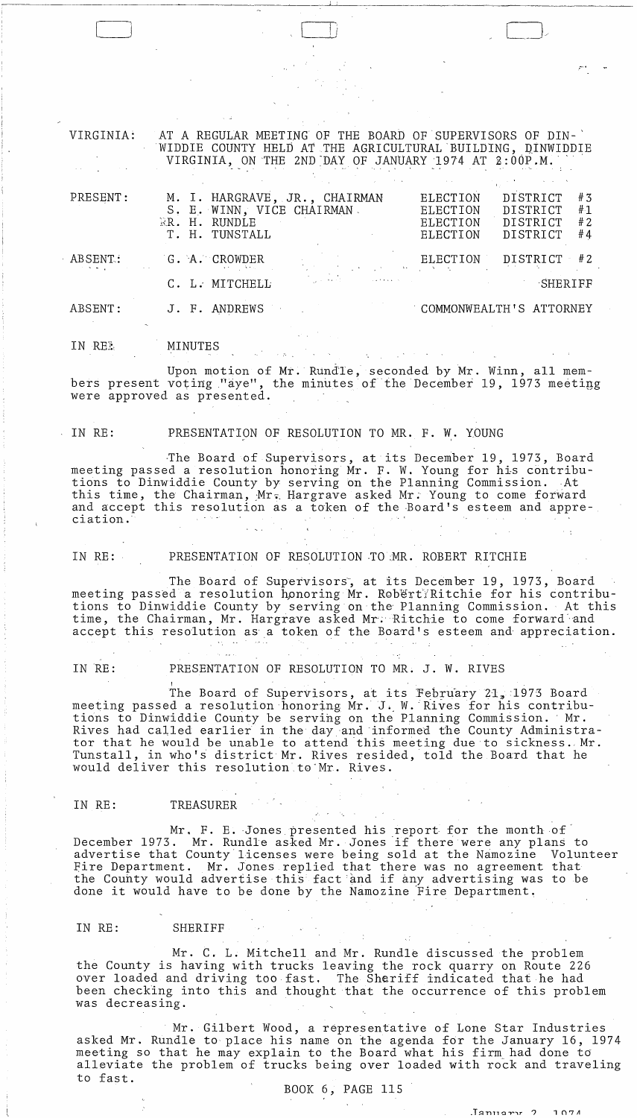| VIRGINIA: | AT A REGULAR MEETING OF THE BOARD OF SUPERVISORS OF DIN-<br>WIDDIE COUNTY HELD AT THE AGRICULTURAL BUILDING, DINWIDDIE<br>VIRGINIA, ON THE 2ND DAY OF JANUARY 1974 AT 2:00P.M. |                                                                                                                      |
|-----------|--------------------------------------------------------------------------------------------------------------------------------------------------------------------------------|----------------------------------------------------------------------------------------------------------------------|
| PRESENT:  | M. I. HARGRAVE, JR., CHAIRMAN<br>S. E. WINN, VICE CHAIRMAN.<br>RR. H. RUNDLE<br>T. H. TUNSTALL                                                                                 | DISTRICT<br>#3<br>ELECTION<br>#1<br>DISTRICT<br>ELECTION<br>#2<br>DISTRICT<br>ELECTION<br>#4<br>DISTRICT<br>ELECTION |
| ABSENT:   | G. A. CROWDER                                                                                                                                                                  | ELECTION<br>DISTRICT<br>#2                                                                                           |
|           | C. L. MITCHELL                                                                                                                                                                 | SHERIFF                                                                                                              |
| ABSENT:   | J. F. ANDREWS                                                                                                                                                                  | COMMONWEALTH'S ATTORNEY                                                                                              |
| IN REL    | MINUTES                                                                                                                                                                        |                                                                                                                      |

**I**... i

.• -'"

 $\Box$ 

Upon motion of Mr. Rund'le, seconded by Mr. Winn, all members present voting "aye", the minutes of the December 19, 1973 meeting were approved as presented.

LJ

IN RE: PRESENTATION OF RESOLUTION TO MR. F. W. YOUNG

The Board of Supervisors, at its December 19, 1973, Board meeting passed a resolution honoring Mr. F. W. Young for his contributions to Dinwiddie County by serving on the Planning Commission. At this time, the Chairman, Mr. Hargrave asked Mr. Young to come forward and accept this resolution as a token of the Board's esteem and appre-<br>ciation.

IN RE: PRESENTATION OF RESOLUTION TO MR. ROBERT RITCHIE

The Board of Supervisors, at its December 19, 1973, Board meeting passed a resolution honoring Mr. Robert Ritchie for his contributions to Dinwiddie County by serving on' the' Planning Commission. At this time, the Chairman, Mr. Hargrave asked Mr. Ritchie to come forward and accept this resolution as a token of the Board's esteem and- appreciation.

IN RE: PRESENTATION OF RESOLUTION TO MR. J. W. RIVES

I The Board of Supervisors, at its February 21, 1973 Board meeting passed a resolution honoring Mr. J. W. Rives for his contributions to Dinwiddie County be serving on the Planning Commission. ' Mr. erons to binwiddle dodney be serving on the righting commission. This tor that he would be unable to attend this meeting due to sickness. Mr. Tunstall, in who's district Mr. Rives resided, told the Board that he would deliver this resolution.to"Mr. Rives.

#### IN RE: TREASURER

Mr. F. E. Jones presented his report for the month of  $\check{\phantom{a}}$ December 1973. Mr. E. Jones presenced his report for the month of advertise that County licenses were being sold at the Namozine Volunteer Eire Department. Mr. Jones replied that there was no agreement that the County would advertise this fact and if any advertising was to be done it would have to be done by the Namozine Fire Department.

#### IN RE: SHERIFF

Mr. C. L. Mitchell and Mr. Rundle discussed the problem the County is having with trucks leaving the rock quarry on Route 226 over loaded and driving too,fast. The Sheriff indicated that he had been checking into this and thought that the occurrence of this problem was decreasing.

Mr. Gilbert Wood, a representative of Lone Star Industries asked Mr. Rundle to place his name on the agenda for the January 16, 1974 meeting so that he may explain to the Board what his firm, had done to' alleviate the problem of trucks being over loaded with rock and traveling to fast.

BOOK 6, PAGE 115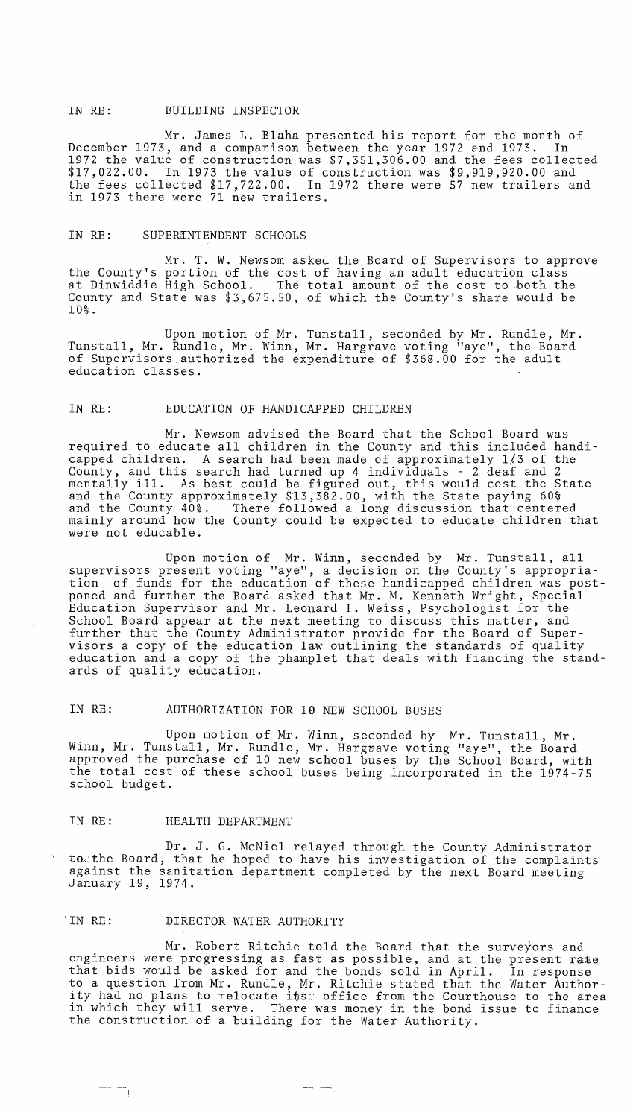# IN RE: BUILDING INSPECTOR

Mr. James L. Blaha presented his report for the month of December 1973, and a comparison between the year 1972 and 1973. In 1972 the value of construction was \$7,351,306.00 and the fees collected \$17,022.00. In 1973 the value of construction was \$9,919,920.00 and the fees collected \$17,722.00. In 1972 there were 57 new trailers and in 1973 there were 71 new trailers.

#### IN RE: SUPERENTENDENT SCHOOLS

Mr. T. W. Newsom asked the Board of Supervisors to approve the County's portion of the cost of having an adult education class at Dinwiddie High School. The total amount of the cost to both the County and State was \$3,675.50, of which the County's share would be 10%.

Upon motion of Mr. Tunstall, seconded by Mr. Rundle, Mr. Tunstall, Mr. Rundle, Mr. Winn, Mr. Hargrave voting "aye", the Board of Supervisors.authorized the expenditure of \$368.00 for the adult education classes.

### IN RE: EDUCATION OF HANDICAPPED CHILDREN

Mr. Newsom advised the Board that the School Board was required to educate all children in the County and this included handicapped children. A search had been made of approximately 1/3 of the County, and this search had turned up 4 individuals - 2 deaf and 2 county, and this search had turned up 4 individuals - 2 deal and 2<br>mentally ill. As best could be figured out, this would cost the State and the County approximately \$13,382.00, with the State paying 60% and the County 40%. There followed a long discussion that centered mainly around how the County could be expected to educate children that were not educable.

Upon motion of Mr. Winn, seconded by Mr. Tunstall, all supervisors present voting "aye", a decision on the County's appropriation of funds for the education of these handicapped children was postponed and further the Board asked that Mr. M. Kenneth Wright, Special Education Supervisor and Mr. Leonard I. Weiss, Psychologist for the School Board appear at the next meeting to discuss this matter, and further that the County Administrator provide for the Board of Supervisors a copy of the education law outlining the standards of quality education and a copy of the phamplet that deals with fiancing the standards of quality education.

# IN RE: AUTHORIZATION FOR 19 NEW SCHOOL BUSES

Upon motion of Mr. Winn, seconded by Mr. Tunstall, Mr. Winn, Mr. Tunstall, Mr. Rundle, Mr. Hargrave voting "aye", the Board approved the purchase of 10 new school buses by the School Board, with the total cost of these school buses being incorporated in the 1974-75 school budget.

### IN RE: HEALTH DEPARTMENT

 $\overline{\phantom{a}}$ 

Dr. J. G. McNiel relayed through the County Administrator to the Board, that he hoped to have his investigation of the complaints against the sanitation department completed by the next Board meeting January 19, 1974.

# 'IN RE: DIRECTOR WATER AUTHORITY

Mr. Robert Ritchie told the Board that the surveyors and engineers were progressing as fast as possible, and at the present rate that bids would be asked for and the bonds sold in April. In response to a question from Mr. Rundle, Mr. Ritchie stated that the Water Authority had no plans to relocate its: office from the Courthouse to the area in which they will serve. There was money in the bond issue to finance the construction of a building for the Water Authority.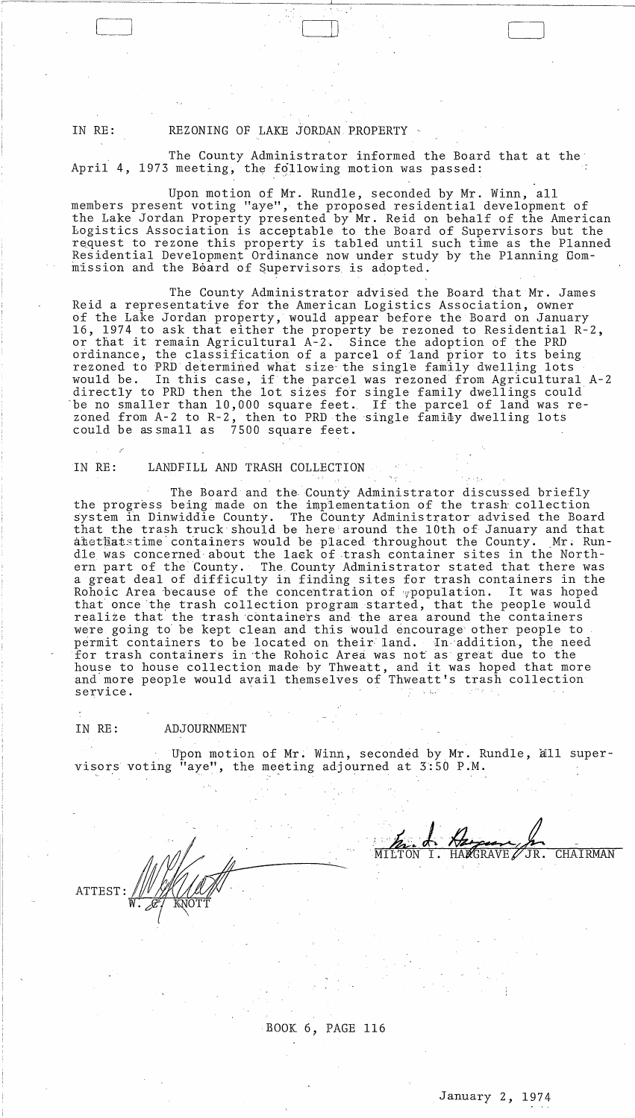### IN RE: REZONING OF LAKE JORDAN PROPERTY

The County Administrator informed the Board that at the April 4, 1973 meeting, the following motion was passed:

 $\Box$ 

Upon motion of Mr. Rundle, seconded by Mr. Winn, all members present voting "aye", the proposed residential development of the Lake Jordan Property presented by Mr. Reid on behalf of the American bogistics Association is acceptable to the Board of Supervisors but the request to rezone this property is tabled until such time as the Planned Residential Development Ordinance now under study by the Planning Gom mission and the Board of Supervisors is adopted.

The County Administrator advised the Board that Mr. James Reid a representative for the American Logistics Association, owner of the Lake Jordan property, would appear before the Board on January 16, 1974 to ask that either the property be rezoned to Residential R-2, or that it remain Agricultural A-2. Since the adoption of the PRD ordinance, the classification of a parcel of land prior to its being rezoned to PRD determined what size the single family dwelling lots would be. In this case, if the parcel was rezoned from Agricultural A-2 directly to PRD then the lot sizes for single family dwellings could be no smaller than 10,000 square feet. If the parcel of land was rezoned from A-2 to R-2, then to PRD the single family dwelling lots could be as small as 7500 square feet.

### IN RE: LANDFILL AND TRASH COLLECTION

ATTEST: WWW.

 $\overline{w}$ :  $\overline{\mathscr{L}}$  **w**  $\overline{w}$  was the *v*  $\overline{w}$ 

The Board and the, County Administrator discussed briefly the progress being made on the implementation of the trash collection system in Dinwiddie County. The County Administrator advised the Board that the trash truck should be here around the 10th of January and that atethatstime containers would be placed throughout the County. Mr. Rundle was concerned about the lack of trash container sites in the Northern part of the County. The County Administrator stated that there was a great deal of difficulty in finding sites for trash containers in the Rohoic Area because of the concentration of population. It was hoped that once the trash collection program started, that the people would realize that the trash containers and the area around the containers were going to be kept clean and this would encourage other people to permit containers to be located on their land. In addition, the need for trash containers in the Rohoic Area was not as great due to the for trash containers in the Rohord Area was not as great due to the<br>house to house collection made by Thweatt, and it was hoped that more and'more people would avail themselves of Thweatt's trash collection service.

### IN RE: ADJOURNMENT

Upon motion of Mr. Winn, seconded by Mr. Rundle, all supervisors voting "aye", the meeting adjourned at 3:50 P.M.

JR. CHAIRMAN RAVE  $\cancel{\mathscr{L}}$ 

BOOK 6, PAGE 116